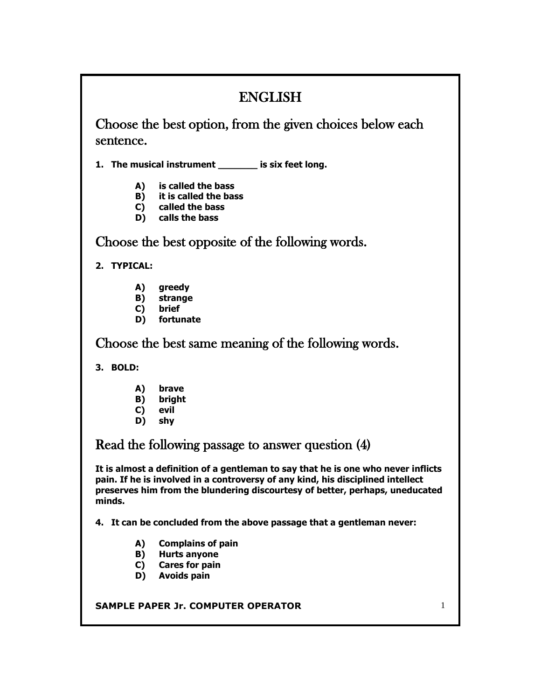# ENGLISH

Choose the best option, from the given choices below each sentence.

**1. The musical instrument \_\_\_\_\_\_\_ is six feet long.**

- **A) is called the bass**
- **B) it is called the bass**
- **C) called the bass**
- **D) calls the bass**

Choose the best opposite of the following words.

**2. TYPICAL:**

- **A) greedy**
- **B) strange**
- **C) brief**
- **D) fortunate**

Choose the best same meaning of the following words.

**3. BOLD:**

- **A) brave**
- **B) bright**
- **C) evil**
- **D) shy**

Read the following passage to answer question (4)

**It is almost a definition of a gentleman to say that he is one who never inflicts pain. If he is involved in a controversy of any kind, his disciplined intellect preserves him from the blundering discourtesy of better, perhaps, uneducated minds.**

**4. It can be concluded from the above passage that a gentleman never:**

- **A) Complains of pain**
- **B) Hurts anyone**
- **C) Cares for pain**
- **D) Avoids pain**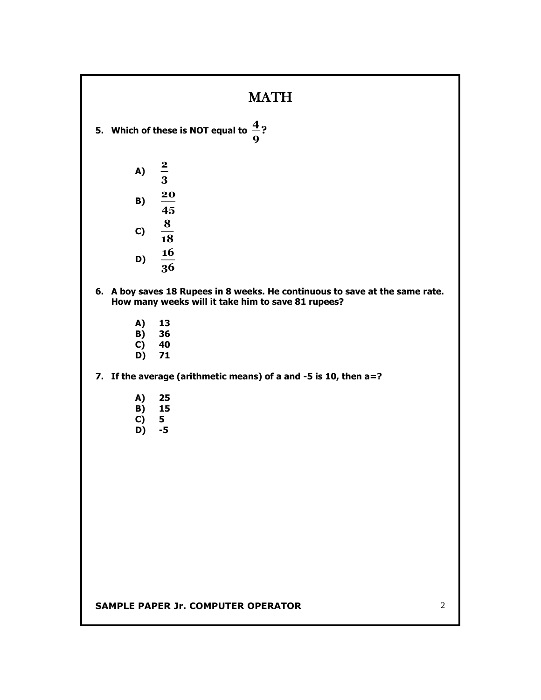### MATH

- **5. Which of these is NOT equal to ? 9 4**
	- **A) 3 2 B) 45 20 C) 18 8 16**
	- **D) 36**
- **6. A boy saves 18 Rupees in 8 weeks. He continuous to save at the same rate. How many weeks will it take him to save 81 rupees?**
	- **A) 13**
	- **B) 36**
	- **C) 40**
	- **D) 71**

**7. If the average (arithmetic means) of a and -5 is 10, then a=?**

- **A) 25**
- **B) 15**
- **C) 5**
- **D) -5**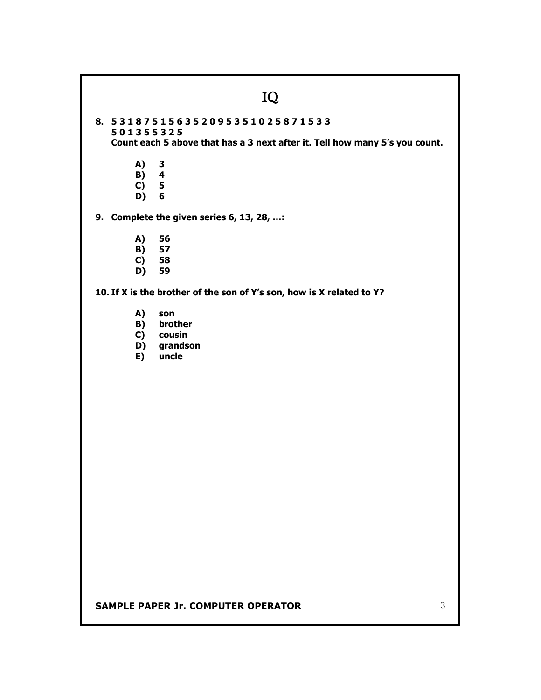### IQ

**8. 5 3 1 8 7 5 1 5 6 3 5 2 0 9 5 3 5 1 0 2 5 8 7 1 5 3 3 5 0 1 3 5 5 3 2 5 Count each 5 above that has a 3 next after it. Tell how many 5's you count.**

- **A) 3 B) 4**
- **C) 5 D) 6**
- **9. Complete the given series 6, 13, 28, …:**
	-
	- **A) 56 B) 57**
	- **C) 58**
	- **D) 59**

**10. If X is the brother of the son of Y's son, how is X related to Y?**

- **A) son**
- **B) brother**
- **C) cousin**
- **D) grandson**
- **E) uncle**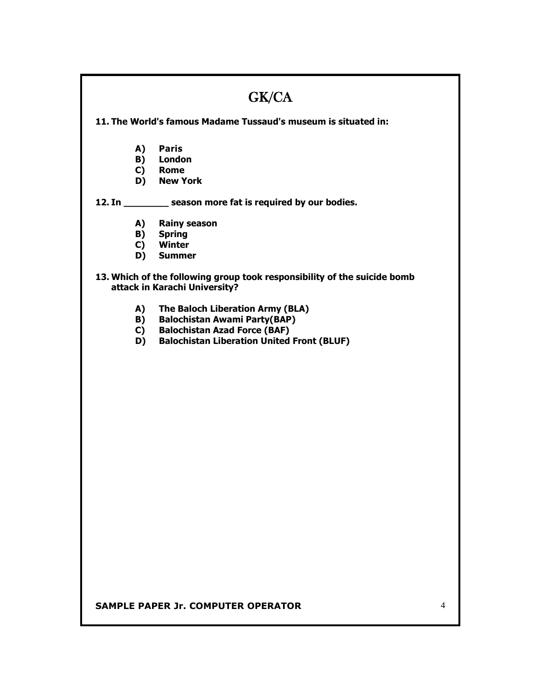| GK/CA                                                                                                     |                                                             |  |  |
|-----------------------------------------------------------------------------------------------------------|-------------------------------------------------------------|--|--|
| 11. The World's famous Madame Tussaud's museum is situated in:                                            |                                                             |  |  |
|                                                                                                           |                                                             |  |  |
| A)                                                                                                        | <b>Paris</b>                                                |  |  |
|                                                                                                           | <b>B)</b> London                                            |  |  |
|                                                                                                           | C) Rome                                                     |  |  |
|                                                                                                           | D) New York                                                 |  |  |
|                                                                                                           | 12. In _________ season more fat is required by our bodies. |  |  |
| A)                                                                                                        | <b>Rainy season</b>                                         |  |  |
|                                                                                                           | <b>B)</b> Spring                                            |  |  |
|                                                                                                           | C) Winter                                                   |  |  |
|                                                                                                           | D) Summer                                                   |  |  |
| 13. Which of the following group took responsibility of the suicide bomb<br>attack in Karachi University? |                                                             |  |  |
| A)                                                                                                        | The Baloch Liberation Army (BLA)                            |  |  |
| B)                                                                                                        | <b>Balochistan Awami Party(BAP)</b>                         |  |  |
| C)                                                                                                        | <b>Balochistan Azad Force (BAF)</b>                         |  |  |
| D)                                                                                                        | <b>Balochistan Liberation United Front (BLUF)</b>           |  |  |
|                                                                                                           |                                                             |  |  |
|                                                                                                           |                                                             |  |  |
|                                                                                                           |                                                             |  |  |
|                                                                                                           |                                                             |  |  |
|                                                                                                           |                                                             |  |  |
|                                                                                                           |                                                             |  |  |
|                                                                                                           |                                                             |  |  |
|                                                                                                           |                                                             |  |  |
|                                                                                                           |                                                             |  |  |
|                                                                                                           |                                                             |  |  |
|                                                                                                           |                                                             |  |  |
|                                                                                                           |                                                             |  |  |
|                                                                                                           |                                                             |  |  |
|                                                                                                           |                                                             |  |  |
|                                                                                                           |                                                             |  |  |
|                                                                                                           |                                                             |  |  |
|                                                                                                           |                                                             |  |  |
|                                                                                                           |                                                             |  |  |
|                                                                                                           |                                                             |  |  |
|                                                                                                           |                                                             |  |  |
|                                                                                                           |                                                             |  |  |
|                                                                                                           |                                                             |  |  |
|                                                                                                           |                                                             |  |  |
| <b>SAMPLE PAPER Jr. COMPUTER OPERATOR</b><br>4                                                            |                                                             |  |  |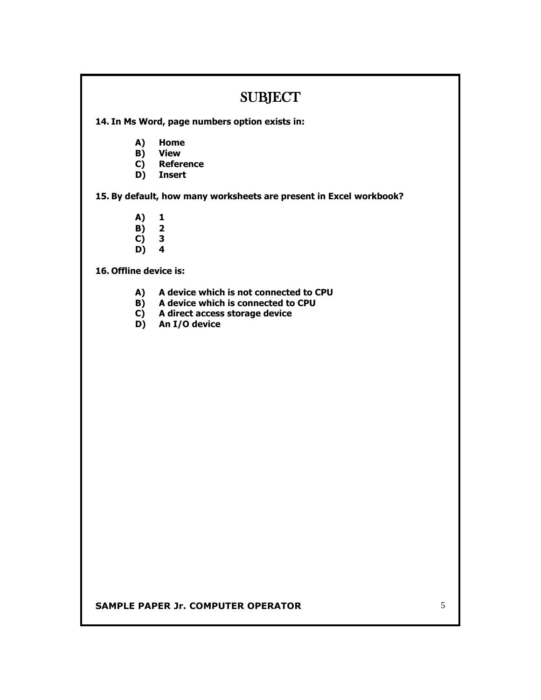### SUBJECT

**14. In Ms Word, page numbers option exists in:**

- **A) Home**
- **B) View**
- **C) Reference**
- **D) Insert**

**15. By default, how many worksheets are present in Excel workbook?**

- **A) 1**
- **B) 2**
- **C) 3 D) 4**

**16. Offline device is:**

- **A) A device which is not connected to CPU**
- **B) A device which is connected to CPU**
- **C) A direct access storage device**
- **D) An I/O device**